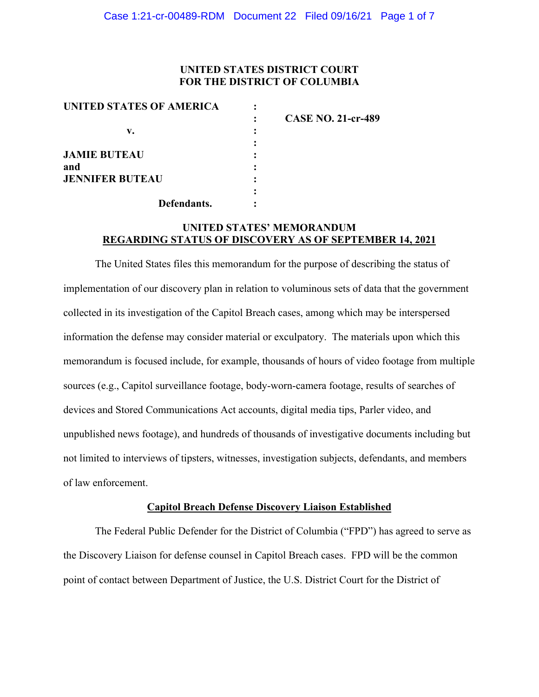## **UNITED STATES DISTRICT COURT FOR THE DISTRICT OF COLUMBIA**

| UNITED STATES OF AMERICA |                           |
|--------------------------|---------------------------|
|                          | <b>CASE NO. 21-cr-489</b> |
| v.                       |                           |
|                          |                           |
| <b>JAMIE BUTEAU</b>      |                           |
| and                      |                           |
| <b>JENNIFER BUTEAU</b>   |                           |
|                          |                           |
| Defendants.              |                           |

# **UNITED STATES' MEMORANDUM REGARDING STATUS OF DISCOVERY AS OF SEPTEMBER 14, 2021**

The United States files this memorandum for the purpose of describing the status of implementation of our discovery plan in relation to voluminous sets of data that the government collected in its investigation of the Capitol Breach cases, among which may be interspersed information the defense may consider material or exculpatory. The materials upon which this memorandum is focused include, for example, thousands of hours of video footage from multiple sources (e.g., Capitol surveillance footage, body-worn-camera footage, results of searches of devices and Stored Communications Act accounts, digital media tips, Parler video, and unpublished news footage), and hundreds of thousands of investigative documents including but not limited to interviews of tipsters, witnesses, investigation subjects, defendants, and members of law enforcement.

#### **Capitol Breach Defense Discovery Liaison Established**

The Federal Public Defender for the District of Columbia ("FPD") has agreed to serve as the Discovery Liaison for defense counsel in Capitol Breach cases. FPD will be the common point of contact between Department of Justice, the U.S. District Court for the District of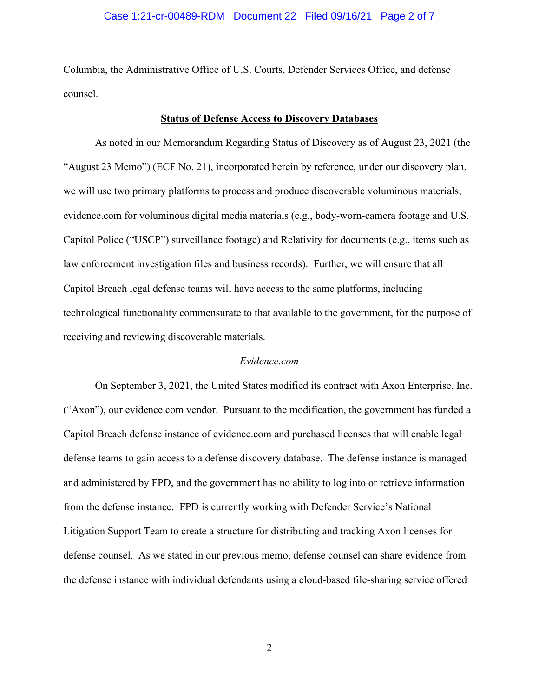### Case 1:21-cr-00489-RDM Document 22 Filed 09/16/21 Page 2 of 7

Columbia, the Administrative Office of U.S. Courts, Defender Services Office, and defense counsel.

#### **Status of Defense Access to Discovery Databases**

As noted in our Memorandum Regarding Status of Discovery as of August 23, 2021 (the "August 23 Memo") (ECF No. 21), incorporated herein by reference, under our discovery plan, we will use two primary platforms to process and produce discoverable voluminous materials, evidence.com for voluminous digital media materials (e.g., body-worn-camera footage and U.S. Capitol Police ("USCP") surveillance footage) and Relativity for documents (e.g., items such as law enforcement investigation files and business records). Further, we will ensure that all Capitol Breach legal defense teams will have access to the same platforms, including technological functionality commensurate to that available to the government, for the purpose of receiving and reviewing discoverable materials.

#### *Evidence.com*

On September 3, 2021, the United States modified its contract with Axon Enterprise, Inc. ("Axon"), our evidence.com vendor. Pursuant to the modification, the government has funded a Capitol Breach defense instance of evidence.com and purchased licenses that will enable legal defense teams to gain access to a defense discovery database. The defense instance is managed and administered by FPD, and the government has no ability to log into or retrieve information from the defense instance. FPD is currently working with Defender Service's National Litigation Support Team to create a structure for distributing and tracking Axon licenses for defense counsel. As we stated in our previous memo, defense counsel can share evidence from the defense instance with individual defendants using a cloud-based file-sharing service offered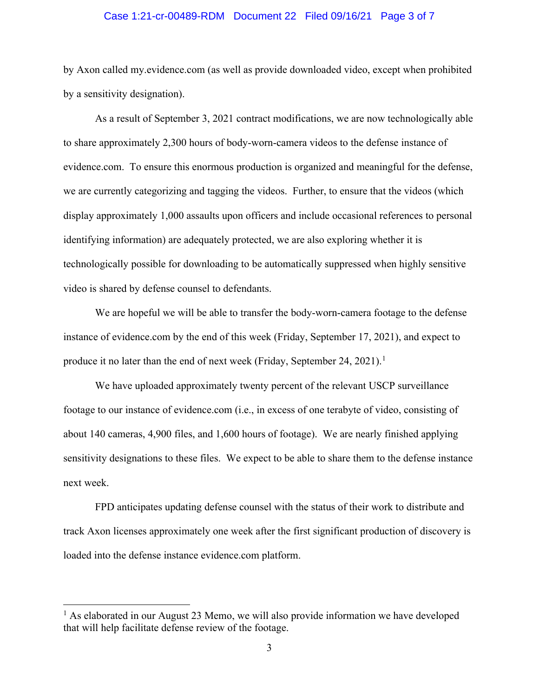#### Case 1:21-cr-00489-RDM Document 22 Filed 09/16/21 Page 3 of 7

by Axon called my.evidence.com (as well as provide downloaded video, except when prohibited by a sensitivity designation).

As a result of September 3, 2021 contract modifications, we are now technologically able to share approximately 2,300 hours of body-worn-camera videos to the defense instance of evidence.com. To ensure this enormous production is organized and meaningful for the defense, we are currently categorizing and tagging the videos. Further, to ensure that the videos (which display approximately 1,000 assaults upon officers and include occasional references to personal identifying information) are adequately protected, we are also exploring whether it is technologically possible for downloading to be automatically suppressed when highly sensitive video is shared by defense counsel to defendants.

We are hopeful we will be able to transfer the body-worn-camera footage to the defense instance of evidence.com by the end of this week (Friday, September 17, 2021), and expect to produce it no later than the end of next week (Friday, September 24, 2021).<sup>1</sup>

We have uploaded approximately twenty percent of the relevant USCP surveillance footage to our instance of evidence.com (i.e., in excess of one terabyte of video, consisting of about 140 cameras, 4,900 files, and 1,600 hours of footage). We are nearly finished applying sensitivity designations to these files. We expect to be able to share them to the defense instance next week.

FPD anticipates updating defense counsel with the status of their work to distribute and track Axon licenses approximately one week after the first significant production of discovery is loaded into the defense instance evidence.com platform.

 $<sup>1</sup>$  As elaborated in our August 23 Memo, we will also provide information we have developed</sup> that will help facilitate defense review of the footage.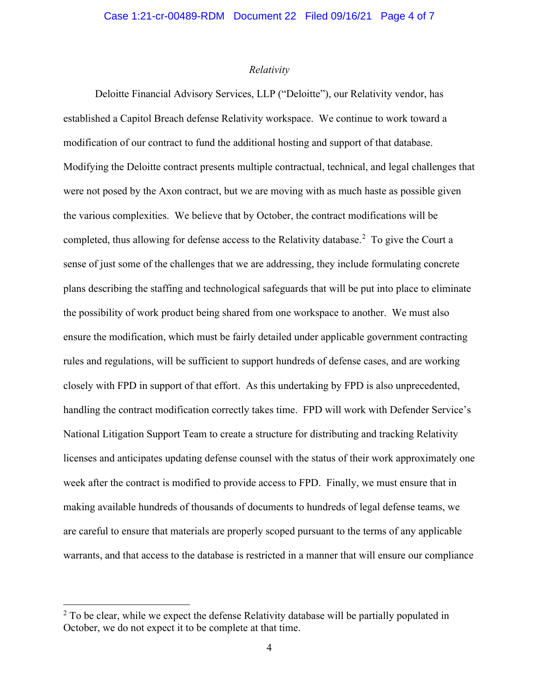## *Relativity*

Deloitte Financial Advisory Services, LLP ("Deloitte"), our Relativity vendor, has established a Capitol Breach defense Relativity workspace. We continue to work toward a modification of our contract to fund the additional hosting and support of that database. Modifying the Deloitte contract presents multiple contractual, technical, and legal challenges that were not posed by the Axon contract, but we are moving with as much haste as possible given the various complexities. We believe that by October, the contract modifications will be completed, thus allowing for defense access to the Relativity database.<sup>2</sup> To give the Court a sense of just some of the challenges that we are addressing, they include formulating concrete plans describing the staffing and technological safeguards that will be put into place to eliminate the possibility of work product being shared from one workspace to another. We must also ensure the modification, which must be fairly detailed under applicable government contracting rules and regulations, will be sufficient to support hundreds of defense cases, and are working closely with FPD in support of that effort. As this undertaking by FPD is also unprecedented, handling the contract modification correctly takes time. FPD will work with Defender Service's National Litigation Support Team to create a structure for distributing and tracking Relativity licenses and anticipates updating defense counsel with the status of their work approximately one week after the contract is modified to provide access to FPD. Finally, we must ensure that in making available hundreds of thousands of documents to hundreds of legal defense teams, we are careful to ensure that materials are properly scoped pursuant to the terms of any applicable warrants, and that access to the database is restricted in a manner that will ensure our compliance

 $2$  To be clear, while we expect the defense Relativity database will be partially populated in October, we do not expect it to be complete at that time.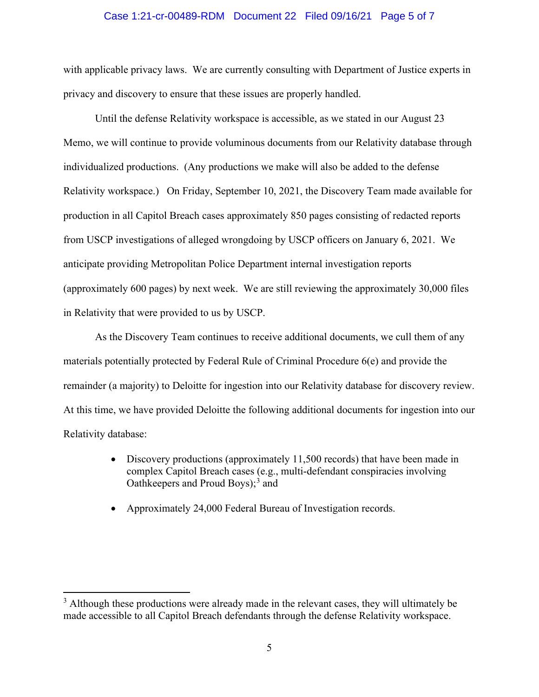### Case 1:21-cr-00489-RDM Document 22 Filed 09/16/21 Page 5 of 7

with applicable privacy laws. We are currently consulting with Department of Justice experts in privacy and discovery to ensure that these issues are properly handled.

Until the defense Relativity workspace is accessible, as we stated in our August 23 Memo, we will continue to provide voluminous documents from our Relativity database through individualized productions. (Any productions we make will also be added to the defense Relativity workspace.) On Friday, September 10, 2021, the Discovery Team made available for production in all Capitol Breach cases approximately 850 pages consisting of redacted reports from USCP investigations of alleged wrongdoing by USCP officers on January 6, 2021. We anticipate providing Metropolitan Police Department internal investigation reports (approximately 600 pages) by next week. We are still reviewing the approximately 30,000 files in Relativity that were provided to us by USCP.

As the Discovery Team continues to receive additional documents, we cull them of any materials potentially protected by Federal Rule of Criminal Procedure 6(e) and provide the remainder (a majority) to Deloitte for ingestion into our Relativity database for discovery review. At this time, we have provided Deloitte the following additional documents for ingestion into our Relativity database:

- Discovery productions (approximately 11,500 records) that have been made in complex Capitol Breach cases (e.g., multi-defendant conspiracies involving Oathkeepers and Proud Boys); <sup>3</sup> and
- Approximately 24,000 Federal Bureau of Investigation records.

<sup>&</sup>lt;sup>3</sup> Although these productions were already made in the relevant cases, they will ultimately be made accessible to all Capitol Breach defendants through the defense Relativity workspace.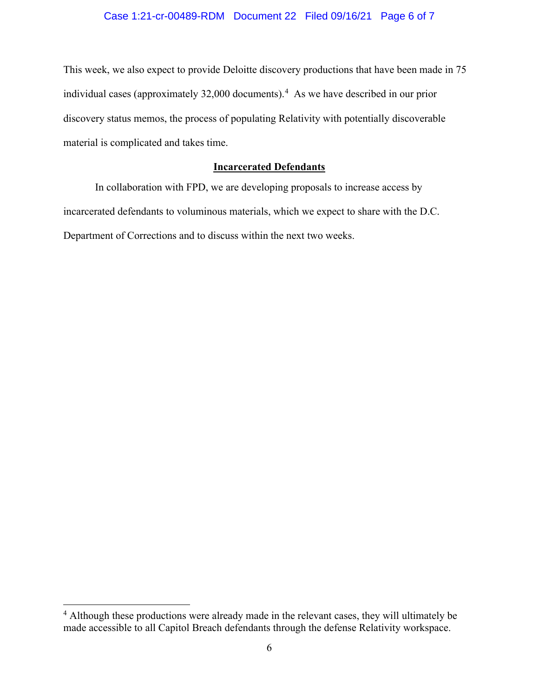# Case 1:21-cr-00489-RDM Document 22 Filed 09/16/21 Page 6 of 7

This week, we also expect to provide Deloitte discovery productions that have been made in 75 individual cases (approximately 32,000 documents). 4 As we have described in our prior discovery status memos, the process of populating Relativity with potentially discoverable material is complicated and takes time.

## **Incarcerated Defendants**

In collaboration with FPD, we are developing proposals to increase access by incarcerated defendants to voluminous materials, which we expect to share with the D.C. Department of Corrections and to discuss within the next two weeks.

<sup>&</sup>lt;sup>4</sup> Although these productions were already made in the relevant cases, they will ultimately be made accessible to all Capitol Breach defendants through the defense Relativity workspace.